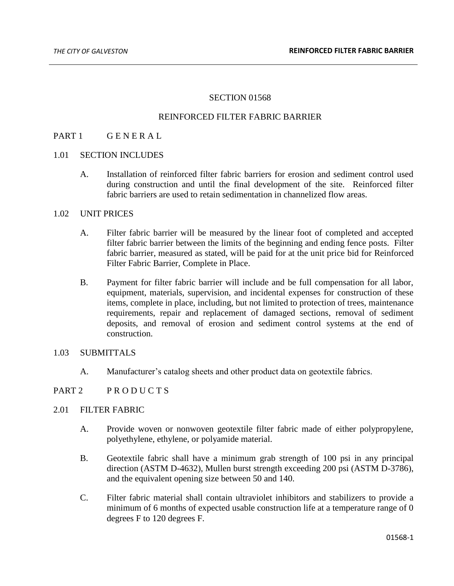# SECTION 01568

### REINFORCED FILTER FABRIC BARRIER

# PART 1 GENERAL

### 1.01 SECTION INCLUDES

A. Installation of reinforced filter fabric barriers for erosion and sediment control used during construction and until the final development of the site. Reinforced filter fabric barriers are used to retain sedimentation in channelized flow areas.

#### 1.02 UNIT PRICES

- A. Filter fabric barrier will be measured by the linear foot of completed and accepted filter fabric barrier between the limits of the beginning and ending fence posts. Filter fabric barrier, measured as stated, will be paid for at the unit price bid for Reinforced Filter Fabric Barrier, Complete in Place.
- B. Payment for filter fabric barrier will include and be full compensation for all labor, equipment, materials, supervision, and incidental expenses for construction of these items, complete in place, including, but not limited to protection of trees, maintenance requirements, repair and replacement of damaged sections, removal of sediment deposits, and removal of erosion and sediment control systems at the end of construction.

### 1.03 SUBMITTALS

A. Manufacturer's catalog sheets and other product data on geotextile fabrics.

## PART 2 PRODUCTS

### 2.01 FILTER FABRIC

- A. Provide woven or nonwoven geotextile filter fabric made of either polypropylene, polyethylene, ethylene, or polyamide material.
- B. Geotextile fabric shall have a minimum grab strength of 100 psi in any principal direction (ASTM D-4632), Mullen burst strength exceeding 200 psi (ASTM D-3786), and the equivalent opening size between 50 and 140.
- C. Filter fabric material shall contain ultraviolet inhibitors and stabilizers to provide a minimum of 6 months of expected usable construction life at a temperature range of 0 degrees F to 120 degrees F.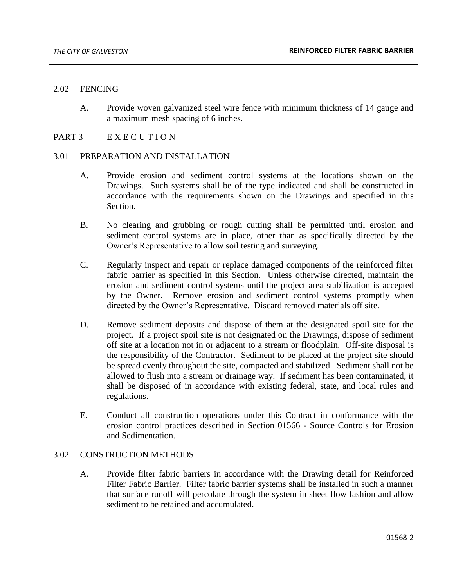#### 2.02 FENCING

A. Provide woven galvanized steel wire fence with minimum thickness of 14 gauge and a maximum mesh spacing of 6 inches.

## PART 3 EXECUTION

## 3.01 PREPARATION AND INSTALLATION

- A. Provide erosion and sediment control systems at the locations shown on the Drawings. Such systems shall be of the type indicated and shall be constructed in accordance with the requirements shown on the Drawings and specified in this Section.
- B. No clearing and grubbing or rough cutting shall be permitted until erosion and sediment control systems are in place, other than as specifically directed by the Owner's Representative to allow soil testing and surveying.
- C. Regularly inspect and repair or replace damaged components of the reinforced filter fabric barrier as specified in this Section. Unless otherwise directed, maintain the erosion and sediment control systems until the project area stabilization is accepted by the Owner. Remove erosion and sediment control systems promptly when directed by the Owner's Representative. Discard removed materials off site.
- D. Remove sediment deposits and dispose of them at the designated spoil site for the project. If a project spoil site is not designated on the Drawings, dispose of sediment off site at a location not in or adjacent to a stream or floodplain. Off-site disposal is the responsibility of the Contractor. Sediment to be placed at the project site should be spread evenly throughout the site, compacted and stabilized. Sediment shall not be allowed to flush into a stream or drainage way. If sediment has been contaminated, it shall be disposed of in accordance with existing federal, state, and local rules and regulations.
- E. Conduct all construction operations under this Contract in conformance with the erosion control practices described in Section 01566 - Source Controls for Erosion and Sedimentation.

### 3.02 CONSTRUCTION METHODS

A. Provide filter fabric barriers in accordance with the Drawing detail for Reinforced Filter Fabric Barrier. Filter fabric barrier systems shall be installed in such a manner that surface runoff will percolate through the system in sheet flow fashion and allow sediment to be retained and accumulated.